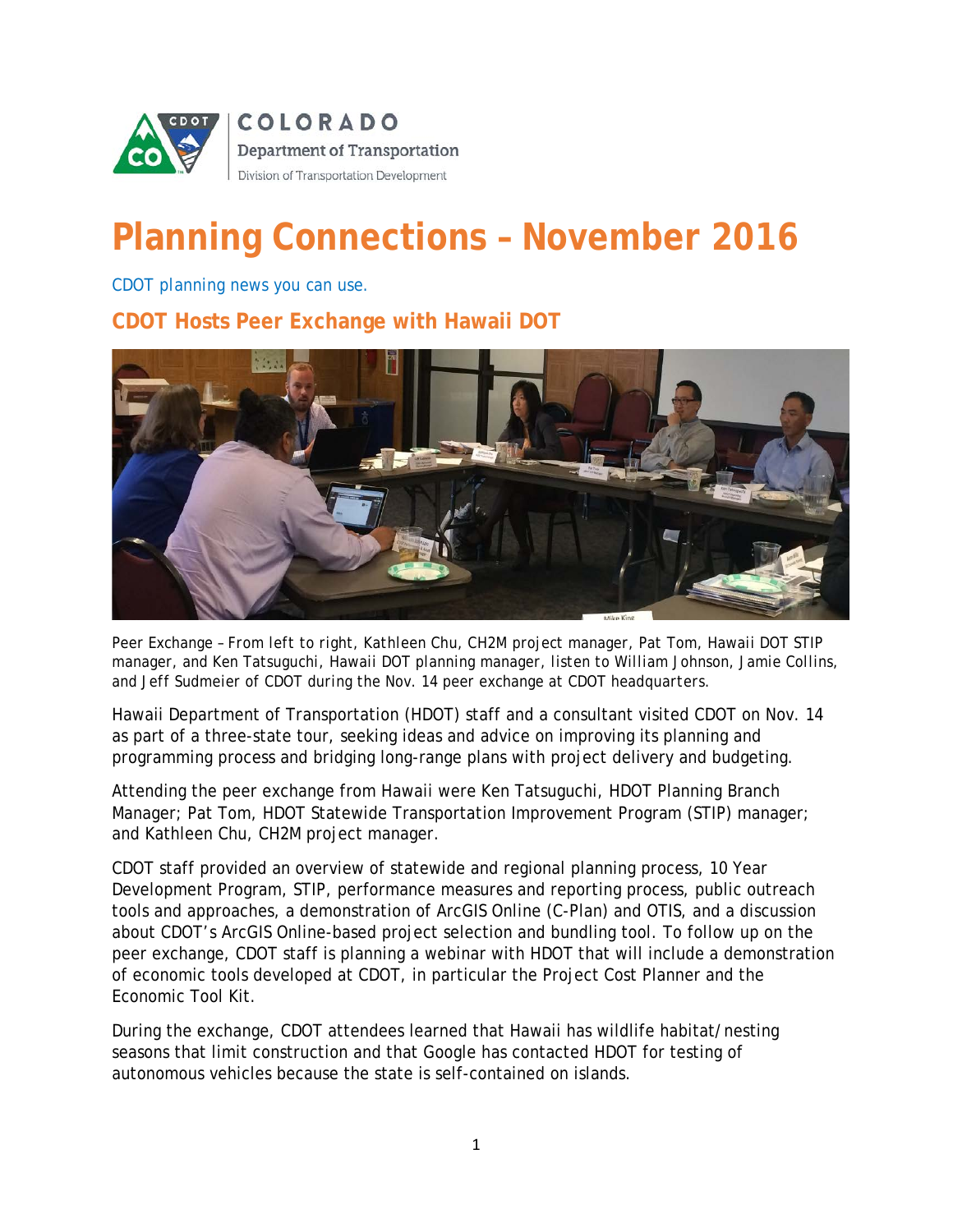

# **Planning Connections – November 2016**

*CDOT planning news you can use.*

**CDOT Hosts Peer Exchange with Hawaii DOT** 



*Peer Exchange – From left to right, Kathleen Chu, CH2M project manager, Pat Tom, Hawaii DOT STIP manager, and Ken Tatsuguchi, Hawaii DOT planning manager, listen to William Johnson, Jamie Collins, and Jeff Sudmeier of CDOT during the Nov. 14 peer exchange at CDOT headquarters.*

Hawaii Department of Transportation (HDOT) staff and a consultant visited CDOT on Nov. 14 as part of a three-state tour, seeking ideas and advice on improving its planning and programming process and bridging long-range plans with project delivery and budgeting.

Attending the peer exchange from Hawaii were Ken Tatsuguchi, HDOT Planning Branch Manager; Pat Tom, HDOT Statewide Transportation Improvement Program (STIP) manager; and Kathleen Chu, CH2M project manager.

CDOT staff provided an overview of statewide and regional planning process, 10 Year Development Program, STIP, performance measures and reporting process, public outreach tools and approaches, a demonstration of ArcGIS Online (C-Plan) and OTIS, and a discussion about CDOT's ArcGIS Online-based project selection and bundling tool. To follow up on the peer exchange, CDOT staff is planning a webinar with HDOT that will include a demonstration of economic tools developed at CDOT, in particular the Project Cost Planner and the Economic Tool Kit.

During the exchange, CDOT attendees learned that Hawaii has wildlife habitat/nesting seasons that limit construction and that Google has contacted HDOT for testing of autonomous vehicles because the state is self-contained on islands.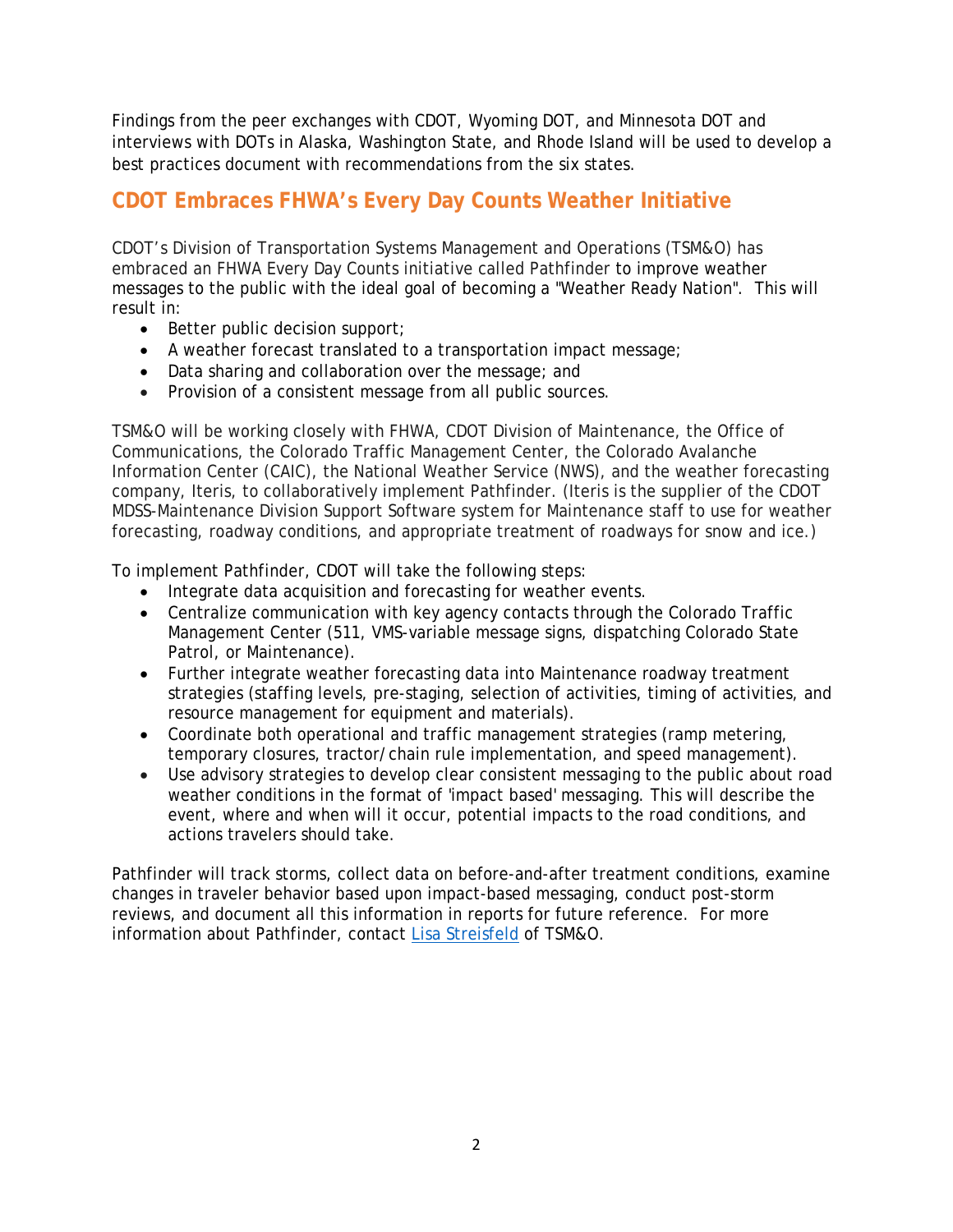Findings from the peer exchanges with CDOT, Wyoming DOT, and Minnesota DOT and interviews with DOTs in Alaska, Washington State, and Rhode Island will be used to develop a best practices document with recommendations from the six states.

## **CDOT Embraces FHWA's Every Day Counts Weather Initiative**

CDOT's Division of Transportation Systems Management and Operations (TSM&O) has embraced an FHWA Every Day Counts initiative called Pathfinder to improve weather messages to the public with the ideal goal of becoming a "Weather Ready Nation". This will result in:

- Better public decision support;
- A weather forecast translated to a transportation impact message;
- Data sharing and collaboration over the message; and
- Provision of a consistent message from all public sources.

TSM&O will be working closely with FHWA, CDOT Division of Maintenance, the Office of Communications, the Colorado Traffic Management Center, the Colorado Avalanche Information Center (CAIC), the National Weather Service (NWS), and the weather forecasting company, Iteris, to collaboratively implement Pathfinder. (Iteris is the supplier of the CDOT MDSS-Maintenance Division Support Software system for Maintenance staff to use for weather forecasting, roadway conditions, and appropriate treatment of roadways for snow and ice.)

To implement Pathfinder, CDOT will take the following steps:

- Integrate data acquisition and forecasting for weather events.
- Centralize communication with key agency contacts through the Colorado Traffic Management Center (511, VMS-variable message signs, dispatching Colorado State Patrol, or Maintenance).
- Further integrate weather forecasting data into Maintenance roadway treatment strategies (staffing levels, pre-staging, selection of activities, timing of activities, and resource management for equipment and materials).
- Coordinate both operational and traffic management strategies (ramp metering, temporary closures, tractor/chain rule implementation, and speed management).
- Use advisory strategies to develop clear consistent messaging to the public about road weather conditions in the format of 'impact based' messaging. This will describe the event, where and when will it occur, potential impacts to the road conditions, and actions travelers should take.

Pathfinder will track storms, collect data on before-and-after treatment conditions, examine changes in traveler behavior based upon impact-based messaging, conduct post-storm reviews, and document all this information in reports for future reference. For more information about Pathfinder, contact [Lisa Streisfeld](mailto:lisa.streisfeld@state.co.us) of TSM&O.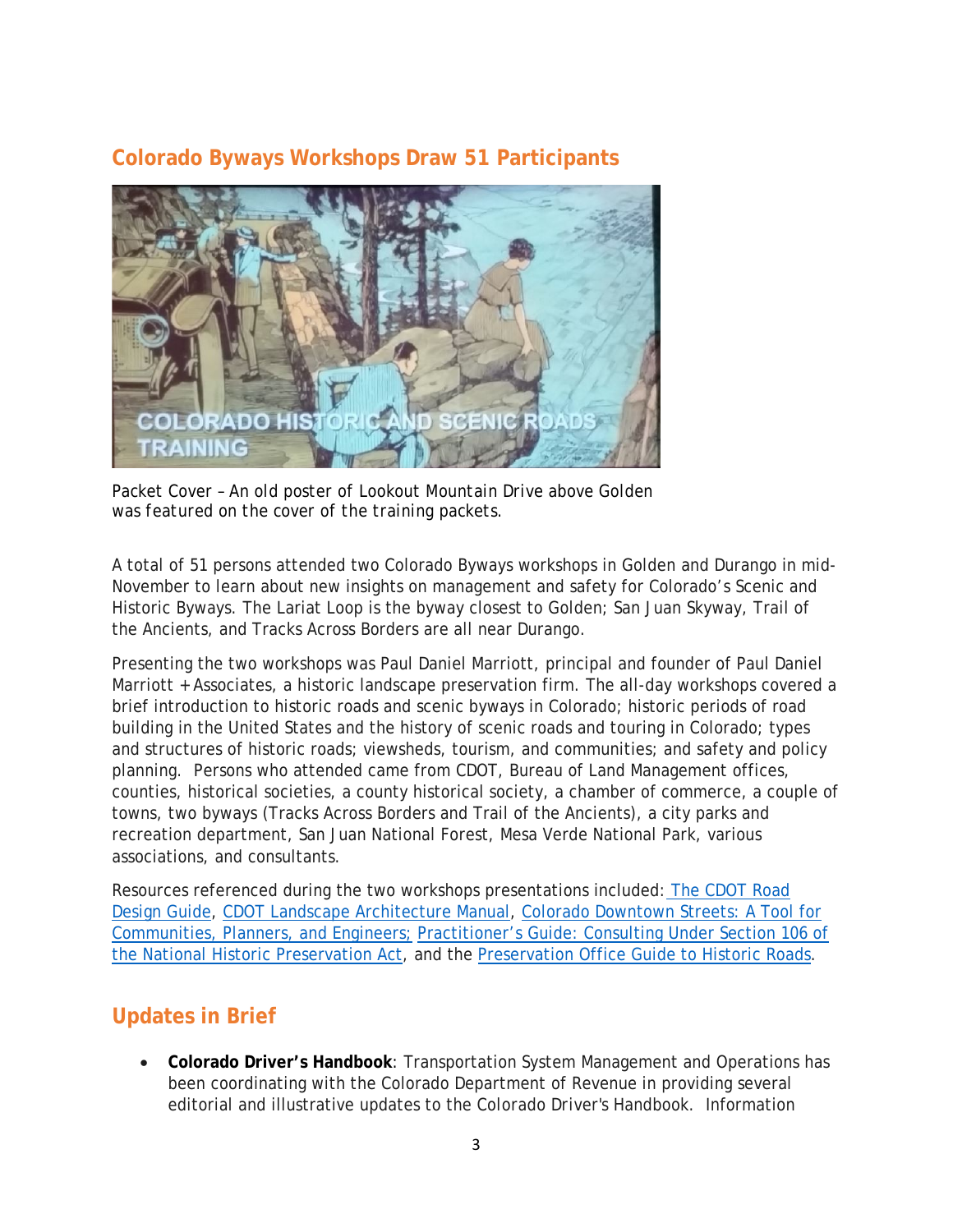#### **Colorado Byways Workshops Draw 51 Participants**



*Packet Cover – An old poster of Lookout Mountain Drive above Golden was featured on the cover of the training packets.*

A total of 51 persons attended two Colorado Byways workshops in Golden and Durango in mid-November to learn about new insights on management and safety for Colorado's Scenic and Historic Byways. The Lariat Loop is the byway closest to Golden; San Juan Skyway, Trail of the Ancients, and Tracks Across Borders are all near Durango.

Presenting the two workshops was Paul Daniel Marriott, principal and founder of Paul Daniel Marriott + Associates, a historic landscape preservation firm. The all-day workshops covered a brief introduction to historic roads and scenic byways in Colorado; historic periods of road building in the United States and the history of scenic roads and touring in Colorado; types and structures of historic roads; viewsheds, tourism, and communities; and safety and policy planning. Persons who attended came from CDOT, Bureau of Land Management offices, counties, historical societies, a county historical society, a chamber of commerce, a couple of towns, two byways (Tracks Across Borders and Trail of the Ancients), a city parks and recreation department, San Juan National Forest, Mesa Verde National Park, various associations, and consultants.

Resources referenced during the two workshops presentations included: [The CDOT Road](https://www.codot.gov/business/designsupport/bulletins_manuals/roadway-design-guide)  [Design Guide,](https://www.codot.gov/business/designsupport/bulletins_manuals/roadway-design-guide) [CDOT Landscape Architecture Manual,](https://www.codot.gov/business/designsupport/bulletins_manuals/cdot-landscape-architecture-manual-2014) [Colorado Downtown Streets: A Tool for](https://www.colorado.gov/pacific/dola/main-street-resources)  [Communities, Planners, and Engineers;](https://www.colorado.gov/pacific/dola/main-street-resources) [Practitioner's Guide: Consulting Under Section 106 of](https://bookstore.transportation.org/item_details.aspx?ID=2685)  [the National Historic Preservation Act,](https://bookstore.transportation.org/item_details.aspx?ID=2685) and the [Preservation Office Guide to Historic Roads.](http://www.historicroads.org/documents/GUIDE.pdf)

# **Updates in Brief**

• **Colorado Driver's Handbook**: Transportation System Management and Operations has been coordinating with the Colorado Department of Revenue in providing several editorial and illustrative updates to the *Colorado Driver's Handbook*. Information